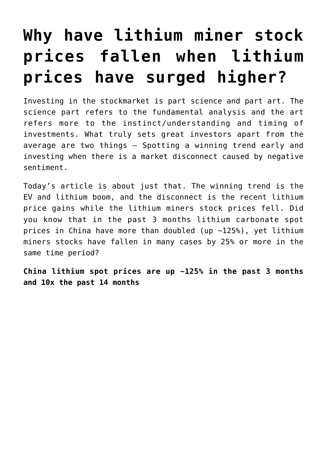## **[Why have lithium miner stock](https://investorintel.com/markets/technology-metals/technology-metals-intel/explaining-the-huge-disconnect-between-commodity-lithium-prices-and-lithium-miners-stock-prices/) [prices fallen when lithium](https://investorintel.com/markets/technology-metals/technology-metals-intel/explaining-the-huge-disconnect-between-commodity-lithium-prices-and-lithium-miners-stock-prices/) [prices have surged higher?](https://investorintel.com/markets/technology-metals/technology-metals-intel/explaining-the-huge-disconnect-between-commodity-lithium-prices-and-lithium-miners-stock-prices/)**

Investing in the stockmarket is part science and part art. The science part refers to the fundamental analysis and the art refers more to the instinct/understanding and timing of investments. What truly sets great investors apart from the average are two things – Spotting a winning trend early and investing when there is a market disconnect caused by negative sentiment.

Today's article is about just that. The winning trend is the EV and lithium boom, and the disconnect is the recent lithium price gains while the lithium miners stock prices fell. Did you know that in the past 3 months lithium carbonate spot prices in China have more than doubled ([up ~125%\)](https://tradingeconomics.com/commodity/lithium), yet lithium miners stocks have fallen in many cases by 25% or more in the same time period?

**China lithium spot prices are up ~125% in the past 3 months and 10x the past 14 months**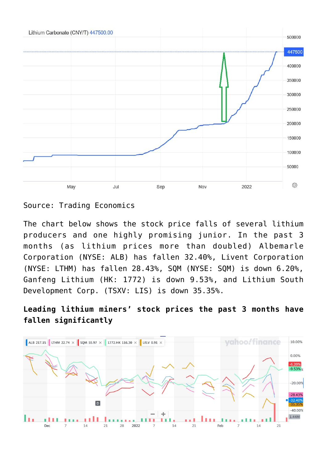

[Source](https://tradingeconomics.com/commodity/lithium): Trading Economics

The chart below shows the stock price falls of several lithium producers and one highly promising junior. In the past 3 months (as lithium prices more than doubled) Albemarle Corporation (NYSE: ALB) has fallen 32.40%, Livent Corporation (NYSE: LTHM) has fallen 28.43%, SQM (NYSE: SQM) is down 6.20%, Ganfeng Lithium (HK: 1772) is down 9.53%, and Lithium South Development Corp. (TSXV: LIS) is down 35.35%.

**Leading lithium miners' stock prices the past 3 months have fallen significantly**

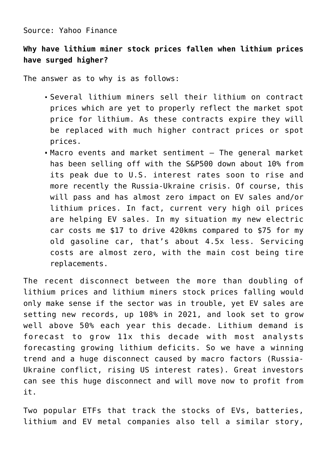## Source: [Yahoo Finance](https://finance.yahoo.com/chart/ALB#eyJpbnRlcnZhbCI6ImRheSIsInBlcmlvZGljaXR5IjoxLCJ0aW1lVW5pdCI6bnVsbCwiY2FuZGxlV2lkdGgiOjE1LjE1MTUxNTE1MTUxNTE1MiwiZmxpcHBlZCI6ZmFsc2UsInZvbHVtZVVuZGVybGF5Ijp0cnVlLCJhZGoiOnRydWUsImNyb3NzaGFpciI6dHJ1ZSwiY2hhcnRUeXBlIjoibGluZSIsImV4dGVuZGVkIjpmYWxzZSwibWFya2V0U2Vzc2lvbnMiOnt9LCJhZ2dyZWdhdGlvblR5cGUiOiJvaGxjIiwiY2hhcnRTY2FsZSI6InBlcmNlbnQiLCJzdHVkaWVzIjp7IuKAjHZvbCB1bmRy4oCMIjp7InR5cGUiOiJ2b2wgdW5kciIsImlucHV0cyI6eyJpZCI6IuKAjHZvbCB1bmRy4oCMIiwiZGlzcGxheSI6IuKAjHZvbCB1bmRy4oCMIn0sIm91dHB1dHMiOnsiVXAgVm9sdW1lIjoiIzAwYjA2MSIsIkRvd24gVm9sdW1lIjoiI2ZmMzMzYSJ9LCJwYW5lbCI6ImNoYXJ0IiwicGFyYW1ldGVycyI6eyJ3aWR0aEZhY3RvciI6MC40NSwiY2hhcnROYW1lIjoiY2hhcnQifX19LCJwYW5lbHMiOnsiY2hhcnQiOnsicGVyY2VudCI6MSwiZGlzcGxheSI6IkFMQiIsImNoYXJ0TmFtZSI6ImNoYXJ0IiwiaW5kZXgiOjAsInlBeGlzIjp7Im5hbWUiOiJjaGFydCIsInBvc2l0aW9uIjpudWxsfSwieWF4aXNMSFMiOltdLCJ5YXhpc1JIUyI6WyJjaGFydCIsIuKAjHZvbCB1bmRy4oCMIl19fSwic2V0U3BhbiI6eyJtdWx0aXBsaWVyIjozLCJiYXNlIjoibW9udGgiLCJwZXJpb2RpY2l0eSI6eyJwZXJpb2QiOjEsImludGVydmFsIjoiZGF5In19LCJsaW5lV2lkdGgiOjIsInN0cmlwZWRCYWNrZ3JvdW5kIjp0cnVlLCJldmVudHMiOnRydWUsImNvbG9yIjoiIzAwODFmMiIsInN0cmlwZWRCYWNrZ3JvdWQiOnRydWUsImV2ZW50TWFwIjp7ImNvcnBvcmF0ZSI6eyJkaXZzIjp0cnVlLCJzcGxpdHMiOnRydWV9LCJzaWdEZXYiOnt9fSwiY3VzdG9tUmFuZ2UiOm51bGwsInN5bWJvbHMiOlt7InN5bWJvbCI6IkFMQiIsInN5bWJvbE9iamVjdCI6eyJzeW1ib2wiOiJBTEIiLCJxdW90ZVR5cGUiOiJFUVVJVFkiLCJleGNoYW5nZVRpbWVab25lIjoiQW1lcmljYS9OZXdfWW9yayJ9LCJwZXJpb2RpY2l0eSI6MSwiaW50ZXJ2YWwiOiJkYXkiLCJ0aW1lVW5pdCI6bnVsbCwic2V0U3BhbiI6eyJtdWx0aXBsaWVyIjozLCJiYXNlIjoibW9udGgiLCJwZXJpb2RpY2l0eSI6eyJwZXJpb2QiOjEsImludGVydmFsIjoiZGF5In19fSx7InN5bWJvbCI6IkxUSE0iLCJzeW1ib2xPYmplY3QiOnsic3ltYm9sIjoiTFRITSJ9LCJwZXJpb2RpY2l0eSI6MSwiaW50ZXJ2YWwiOiJkYXkiLCJ0aW1lVW5pdCI6bnVsbCwic2V0U3BhbiI6eyJtdWx0aXBsaWVyIjozLCJiYXNlIjoibW9udGgiLCJwZXJpb2RpY2l0eSI6eyJwZXJpb2QiOjEsImludGVydmFsIjoiZGF5In19LCJpZCI6IkxUSE0iLCJwYXJhbWV0ZXJzIjp7ImNvbG9yIjoiI2ZmODBjNSIsIndpZHRoIjoyLCJpc0NvbXBhcmlzb24iOnRydWUsInNoYXJlWUF4aXMiOnRydWUsImNoYXJ0TmFtZSI6ImNoYXJ0Iiwic3ltYm9sT2JqZWN0Ijp7InN5bWJvbCI6IkxUSE0ifSwicGFuZWwiOiJjaGFydCIsImZpbGxHYXBzIjpmYWxzZSwiYWN0aW9uIjoiYWRkLXNlcmllcyIsInN5bWJvbCI6IkxUSE0iLCJnYXBEaXNwbGF5U3R5bGUiOiJ0cmFuc3BhcmVudCIsIm5hbWUiOiJMVEhNIiwib3ZlckNoYXJ0Ijp0cnVlLCJ1c2VDaGFydExlZ2VuZCI6dHJ1ZSwiaGVpZ2h0UGVyY2VudGFnZSI6MC43LCJvcGFjaXR5IjoxLCJoaWdobGlnaHRhYmxlIjp0cnVlLCJ0eXBlIjoibGluZSIsInN0eWxlIjoic3R4X2xpbmVfY2hhcnQiLCJoaWdobGlnaHQiOmZhbHNlfX0seyJzeW1ib2wiOiJTUU0iLCJzeW1ib2xPYmplY3QiOnsic3ltYm9sIjoiU1FNIn0sInBlcmlvZGljaXR5IjoxLCJpbnRlcnZhbCI6ImRheSIsInRpbWVVbml0IjpudWxsLCJzZXRTcGFuIjp7Im11bHRpcGxpZXIiOjMsImJhc2UiOiJtb250aCIsInBlcmlvZGljaXR5Ijp7InBlcmlvZCI6MSwiaW50ZXJ2YWwiOiJkYXkifX0sImlkIjoiU1FNIiwicGFyYW1ldGVycyI6eyJjb2xvciI6IiNmZjMzM2EiLCJ3aWR0aCI6MiwiaXNDb21wYXJpc29uIjp0cnVlLCJzaGFyZVlBeGlzIjp0cnVlLCJjaGFydE5hbWUiOiJjaGFydCIsInN5bWJvbE9iamVjdCI6eyJzeW1ib2wiOiJTUU0ifSwicGFuZWwiOiJjaGFydCIsImZpbGxHYXBzIjpmYWxzZSwiYWN0aW9uIjoiYWRkLXNlcmllcyIsInN5bWJvbCI6IlNRTSIsImdhcERpc3BsYXlTdHlsZSI6InRyYW5zcGFyZW50IiwibmFtZSI6IlNRTSIsIm92ZXJDaGFydCI6dHJ1ZSwidXNlQ2hhcnRMZWdlbmQiOnRydWUsImhlaWdodFBlcmNlbnRhZ2UiOjAuNywib3BhY2l0eSI6MSwiaGlnaGxpZ2h0YWJsZSI6dHJ1ZSwidHlwZSI6ImxpbmUiLCJzdHlsZSI6InN0eF9saW5lX2NoYXJ0IiwiaGlnaGxpZ2h0IjpmYWxzZX19LHsic3ltYm9sIjoiMTc3Mi5ISyIsInN5bWJvbE9iamVjdCI6eyJzeW1ib2wiOiIxNzcyLkhLIn0sInBlcmlvZGljaXR5IjoxLCJpbnRlcnZhbCI6ImRheSIsInRpbWVVbml0IjpudWxsLCJzZXRTcGFuIjp7Im11bHRpcGxpZXIiOjMsImJhc2UiOiJtb250aCIsInBlcmlvZGljaXR5Ijp7InBlcmlvZCI6MSwiaW50ZXJ2YWwiOiJkYXkifX0sImlkIjoiMTc3Mi5ISyIsInBhcmFtZXRlcnMiOnsiY29sb3IiOiIjNzlmNGJkIiwid2lkdGgiOjIsImlzQ29tcGFyaXNvbiI6dHJ1ZSwic2hhcmVZQXhpcyI6dHJ1ZSwiY2hhcnROYW1lIjoiY2hhcnQiLCJzeW1ib2xPYmplY3QiOnsic3ltYm9sIjoiMTc3Mi5ISyJ9LCJwYW5lbCI6ImNoYXJ0IiwiZmlsbEdhcHMiOmZhbHNlLCJhY3Rpb24iOiJhZGQtc2VyaWVzIiwic3ltYm9sIjoiMTc3Mi5ISyIsImdhcERpc3BsYXlTdHlsZSI6InRyYW5zcGFyZW50IiwibmFtZSI6IjE3NzIuSEsiLCJvdmVyQ2hhcnQiOnRydWUsInVzZUNoYXJ0TGVnZW5kIjp0cnVlLCJoZWlnaHRQZXJjZW50YWdlIjowLjcsIm9wYWNpdHkiOjEsImhpZ2hsaWdodGFibGUiOnRydWUsInR5cGUiOiJsaW5lIiwic3R5bGUiOiJzdHhfbGluZV9jaGFydCIsImhpZ2hsaWdodCI6ZmFsc2V9fSx7InN5bWJvbCI6IkxJUy5WIiwic3ltYm9sT2JqZWN0Ijp7InN5bWJvbCI6IkxJUy5WIn0sInBlcmlvZGljaXR5IjoxLCJpbnRlcnZhbCI6ImRheSIsInRpbWVVbml0IjpudWxsLCJzZXRTcGFuIjp7Im11bHRpcGxpZXIiOjMsImJhc2UiOiJtb250aCIsInBlcmlvZGljaXR5Ijp7InBlcmlvZCI6MSwiaW50ZXJ2YWwiOiJkYXkifX0sImlkIjoiTElTLlYiLCJwYXJhbWV0ZXJzIjp7ImNvbG9yIjoiI2UwOWMwMCIsIndpZHRoIjoyLCJpc0NvbXBhcmlzb24iOnRydWUsInNoYXJlWUF4aXMiOnRydWUsImNoYXJ0TmFtZSI6ImNoYXJ0Iiwic3ltYm9sT2JqZWN0Ijp7InN5bWJvbCI6IkxJUy5WIn0sInBhbmVsIjoiY2hhcnQiLCJmaWxsR2FwcyI6ZmFsc2UsImFjdGlvbiI6ImFkZC1zZXJpZXMiLCJzeW1ib2wiOiJMSVMuViIsImdhcERpc3BsYXlTdHlsZSI6InRyYW5zcGFyZW50IiwibmFtZSI6IkxJUy5WIiwib3ZlckNoYXJ0Ijp0cnVlLCJ1c2VDaGFydExlZ2VuZCI6dHJ1ZSwiaGVpZ2h0UGVyY2VudGFnZSI6MC43LCJvcGFjaXR5IjoxLCJoaWdobGlnaHRhYmxlIjp0cnVlLCJ0eXBlIjoibGluZSIsInN0eWxlIjoic3R4X2xpbmVfY2hhcnQiLCJoaWdobGlnaHQiOmZhbHNlfX1dfQ--)

## **Why have lithium miner stock prices fallen when lithium prices have surged higher?**

The answer as to why is as follows:

- Several lithium miners sell their lithium on contract prices which are yet to properly reflect the market spot price for lithium. As these contracts expire they will be replaced with much higher contract prices or spot prices.
- Macro events and market sentiment The general market has been selling off with the S&P500 down about 10% from its peak due to U.S. interest rates soon to rise and more recently the Russia-Ukraine crisis. Of course, this will pass and has almost zero impact on EV sales and/or lithium prices. In fact, current very high oil prices are helping EV sales. In my situation my new electric car costs me \$17 to drive 420kms compared to \$75 for my old gasoline car, that's about 4.5x less. Servicing costs are almost zero, with the main cost being tire replacements.

The recent disconnect between the more than doubling of lithium prices and lithium miners stock prices falling would only make sense if the sector was in trouble, yet EV sales are setting new records, up [108%](https://www.ev-volumes.com/) in 2021, and look set to grow well above 50% each year this decade. Lithium demand is forecast to grow [11x](https://www.mining.com/top-14-ubs-battery-metals-forecasts-after-vw-teardown/) this decade with most analysts forecasting growing lithium deficits. So we have a winning trend and a huge disconnect caused by macro factors (Russia-Ukraine conflict, rising US interest rates). Great investors can see this huge disconnect and will move now to profit from it.

Two popular ETFs that track the stocks of EVs, batteries, lithium and EV metal companies also tell a similar story,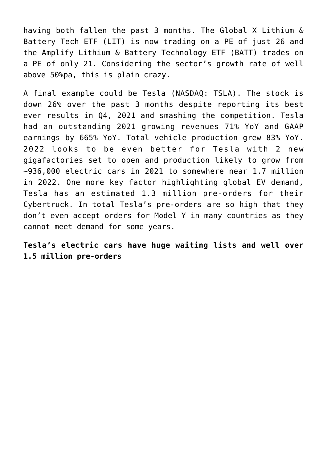having both fallen the past 3 months. The Global X Lithium & Battery Tech ETF (LIT) is now trading on a PE of just [26](https://www.globalxetfs.com/funds/lit/) and the Amplify Lithium & Battery Technology ETF (BATT) trades on a PE of only [21](https://ycharts.com/companies/BATT). Considering the sector's growth rate of well above 50%pa, this is plain crazy.

A final example could be Tesla (NASDAQ: TSLA). The stock is [down 26%](https://au.finance.yahoo.com/quote/TSLA/) over the past 3 months despite reporting its best ever results in Q4, 2021 and smashing the competition. Tesla had an outstanding 2021 [growing revenues 71% YoY](https://tesla-cdn.thron.com/static/WIIG2L_TSLA_Q4_2021_Update_O7MYNE.pdf?xseo=&response-content-disposition=inline%3Bfilename%3D%22tsla-q4-and-fy-2021-update.pdf%22) and GAAP earnings by 665% YoY. Total vehicle production grew 83% YoY. 2022 looks to be even better for Tesla with 2 new gigafactories set to open and production likely to grow from ~936,000 electric cars in 2021 to somewhere near 1.7 million in 2022. One more key factor highlighting global EV demand, Tesla has an estimated [1.3 million pre-orders](https://insideevs.com/news/549919/tesla-80-billion-cybertruck-reservations/) for their Cybertruck. In total Tesla's pre-orders are so high that they don't even accept orders for Model Y in many countries as they cannot meet demand for some years.

**Tesla's electric cars have huge waiting lists and well over 1.5 million pre-orders**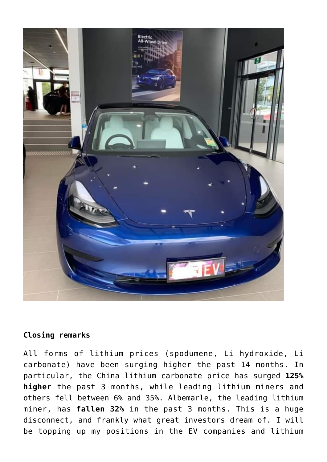

## **Closing remarks**

All forms of lithium prices (spodumene, Li hydroxide, Li carbonate) have been surging higher the past 14 months. In particular, the China lithium carbonate price has surged **125% higher** the past 3 months, while leading lithium miners and others fell between 6% and 35%. Albemarle, the leading lithium miner, has **fallen 32%** in the past 3 months. This is a huge disconnect, and frankly what great investors dream of. I will be topping up my positions in the EV companies and lithium